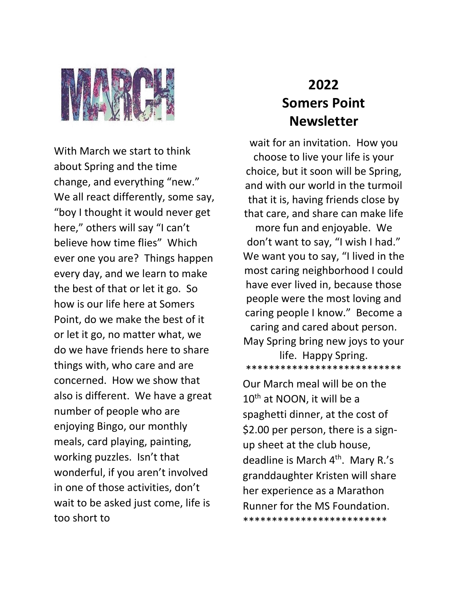

With March we start to think about Spring and the time change, and everything "new." We all react differently, some say, "boy I thought it would never get here," others will say "I can't believe how time flies" Which ever one you are? Things happen every day, and we learn to make the best of that or let it go. So how is our life here at Somers Point, do we make the best of it or let it go, no matter what, we do we have friends here to share things with, who care and are concerned. How we show that also is different. We have a great number of people who are enjoying Bingo, our monthly meals, card playing, painting, working puzzles. Isn't that wonderful, if you aren't involved in one of those activities, don't wait to be asked just come, life is too short to

## **2022 Somers Point Newsletter**

wait for an invitation. How you choose to live your life is your choice, but it soon will be Spring, and with our world in the turmoil that it is, having friends close by that care, and share can make life more fun and enjoyable. We don't want to say, "I wish I had." We want you to say, "I lived in the most caring neighborhood I could have ever lived in, because those people were the most loving and caring people I know." Become a caring and cared about person. May Spring bring new joys to your life. Happy Spring. \*\*\*\*\*\*\*\*\*\*\*\*\*\*\*\*\*\*\*\*\*\*\*\*\*\*\*

Our March meal will be on the 10<sup>th</sup> at NOON, it will be a spaghetti dinner, at the cost of \$2.00 per person, there is a signup sheet at the club house, deadline is March 4<sup>th</sup>. Mary R.'s granddaughter Kristen will share her experience as a Marathon Runner for the MS Foundation. \*\*\*\*\*\*\*\*\*\*\*\*\*\*\*\*\*\*\*\*\*\*\*\*\*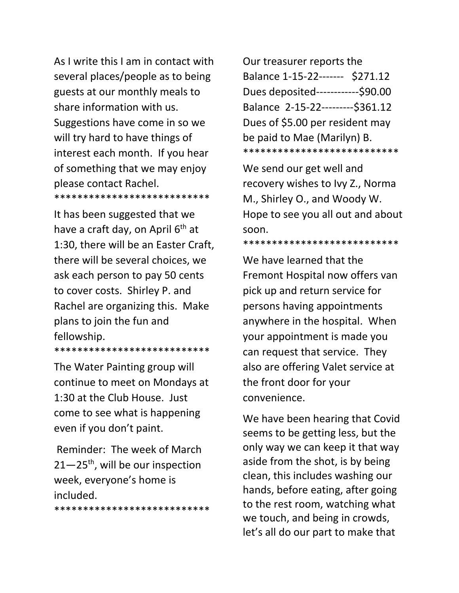As I write this I am in contact with several places/people as to being guests at our monthly meals to share information with us. Suggestions have come in so we will try hard to have things of interest each month. If you hear of something that we may enjoy please contact Rachel. \*\*\*\*\*\*\*\*\*\*\*\*\*\*\*\*\*\*\*\*\*\*\*\*\*\*\*

It has been suggested that we have a craft day, on April  $6<sup>th</sup>$  at 1:30, there will be an Easter Craft, there will be several choices, we ask each person to pay 50 cents to cover costs. Shirley P. and Rachel are organizing this. Make plans to join the fun and fellowship.

\*\*\*\*\*\*\*\*\*\*\*\*\*\*\*\*\*\*\*\*\*\*\*\*\*\*\*

The Water Painting group will continue to meet on Mondays at 1:30 at the Club House. Just come to see what is happening even if you don't paint.

Reminder: The week of March  $21-25$ <sup>th</sup>, will be our inspection week, everyone's home is included.

\*\*\*\*\*\*\*\*\*\*\*\*\*\*\*\*\*\*\*\*\*\*\*\*\*\*\*

Our treasurer reports the Balance 1-15-22------- \$271.12 Dues deposited------------\$90.00 Balance 2-15-22---------\$361.12 Dues of \$5.00 per resident may be paid to Mae (Marilyn) B. \*\*\*\*\*\*\*\*\*\*\*\*\*\*\*\*\*\*\*\*\*\*\*\*\*\*\*

We send our get well and recovery wishes to Ivy Z., Norma M., Shirley O., and Woody W. Hope to see you all out and about soon.

\*\*\*\*\*\*\*\*\*\*\*\*\*\*\*\*\*\*\*\*\*\*\*\*\*\*\*

We have learned that the Fremont Hospital now offers van pick up and return service for persons having appointments anywhere in the hospital. When your appointment is made you can request that service. They also are offering Valet service at the front door for your convenience.

We have been hearing that Covid seems to be getting less, but the only way we can keep it that way aside from the shot, is by being clean, this includes washing our hands, before eating, after going to the rest room, watching what we touch, and being in crowds, let's all do our part to make that